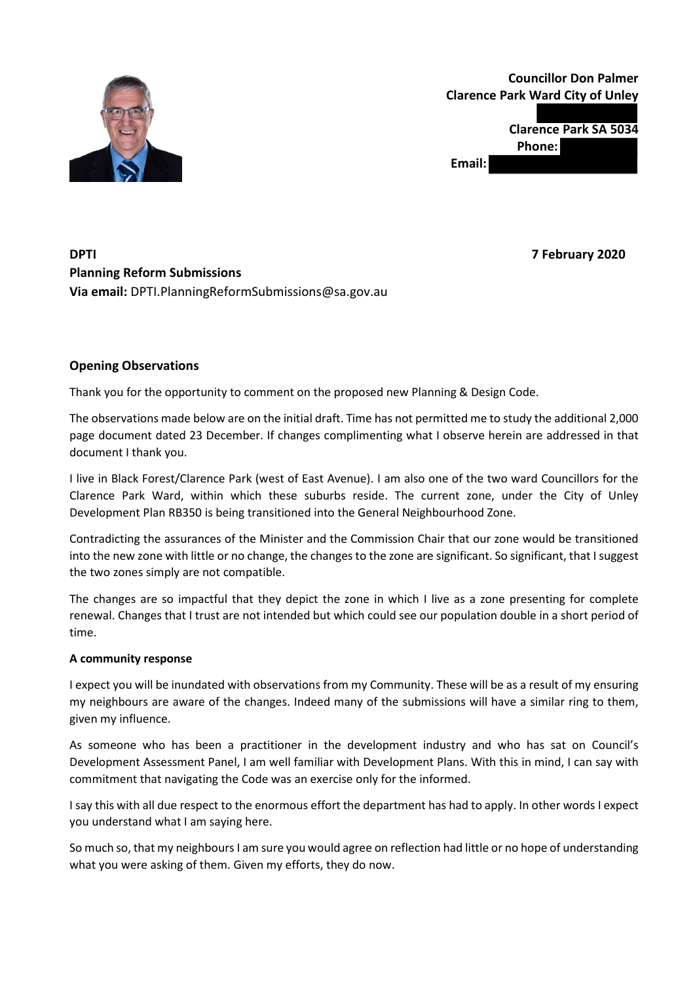

# **Councillor Don Palmer Clarence Park Ward City of Unley**

**Clarence Park SA 5034 Phone: Email:** 

## **DPTI 7 February 2020 Planning Reform Submissions Via email:** DPTI.PlanningReformSubmissions@sa.gov.au

## **Opening Observations**

Thank you for the opportunity to comment on the proposed new Planning & Design Code.

The observations made below are on the initial draft. Time has not permitted me to study the additional 2,000 page document dated 23 December. If changes complimenting what I observe herein are addressed in that document I thank you.

I live in Black Forest/Clarence Park (west of East Avenue). I am also one of the two ward Councillors for the Clarence Park Ward, within which these suburbs reside. The current zone, under the City of Unley Development Plan RB350 is being transitioned into the General Neighbourhood Zone.

Contradicting the assurances of the Minister and the Commission Chair that our zone would be transitioned into the new zone with little or no change, the changes to the zone are significant. So significant, that I suggest the two zones simply are not compatible.

The changes are so impactful that they depict the zone in which I live as a zone presenting for complete renewal. Changes that I trust are not intended but which could see our population double in a short period of time.

#### **A community response**

I expect you will be inundated with observations from my Community. These will be as a result of my ensuring my neighbours are aware of the changes. Indeed many of the submissions will have a similar ring to them, given my influence.

As someone who has been a practitioner in the development industry and who has sat on Council's Development Assessment Panel, I am well familiar with Development Plans. With this in mind, I can say with commitment that navigating the Code was an exercise only for the informed.

I say this with all due respect to the enormous effort the department has had to apply. In other words I expect you understand what I am saying here.

So much so, that my neighbours I am sure you would agree on reflection had little or no hope of understanding what you were asking of them. Given my efforts, they do now.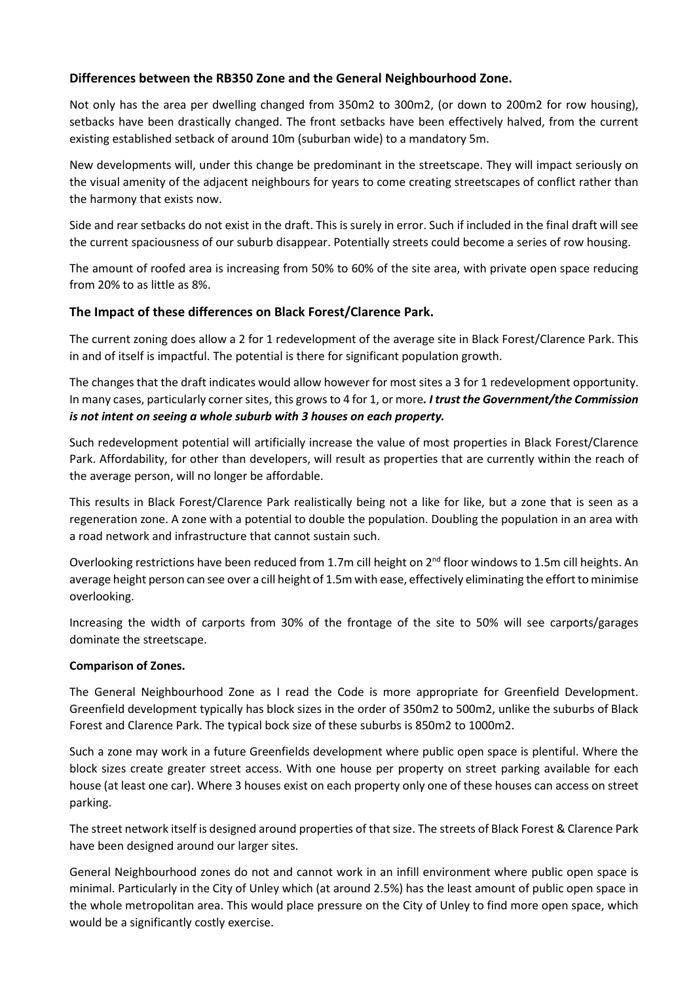## **Differences between the RB350 Zone and the General Neighbourhood Zone.**

Not only has the area per dwelling changed from 350m2 to 300m2, (or down to 200m2 for row housing), setbacks have been drastically changed. The front setbacks have been effectively halved, from the current existing established setback of around 10m (suburban wide) to a mandatory 5m.

New developments will, under this change be predominant in the streetscape. They will impact seriously on the visual amenity of the adjacent neighbours for years to come creating streetscapes of conflict rather than the harmony that exists now.

Side and rear setbacks do not exist in the draft. This is surely in error. Such if included in the final draft will see the current spaciousness of our suburb disappear. Potentially streets could become a series of row housing.

The amount of roofed area is increasing from 50% to 60% of the site area, with private open space reducing from 20% to as little as 8%.

### **The Impact of these differences on Black Forest/Clarence Park.**

The current zoning does allow a 2 for 1 redevelopment of the average site in Black Forest/Clarence Park. This in and of itself is impactful. The potential is there for significant population growth.

The changes that the draft indicates would allow however for most sites a 3 for 1 redevelopment opportunity. In many cases, particularly corner sites, this grows to 4 for 1, or more*. I trust the Government/the Commission is not intent on seeing a whole suburb with 3 houses on each property.*

Such redevelopment potential will artificially increase the value of most properties in Black Forest/Clarence Park. Affordability, for other than developers, will result as properties that are currently within the reach of the average person, will no longer be affordable.

This results in Black Forest/Clarence Park realistically being not a like for like, but a zone that is seen as a regeneration zone. A zone with a potential to double the population. Doubling the population in an area with a road network and infrastructure that cannot sustain such.

Overlooking restrictions have been reduced from 1.7m cill height on 2<sup>nd</sup> floor windows to 1.5m cill heights. An average height person can see over a cill height of 1.5m with ease, effectively eliminating the effort to minimise overlooking.

Increasing the width of carports from 30% of the frontage of the site to 50% will see carports/garages dominate the streetscape.

#### **Comparison of Zones.**

The General Neighbourhood Zone as I read the Code is more appropriate for Greenfield Development. Greenfield development typically has block sizes in the order of 350m2 to 500m2, unlike the suburbs of Black Forest and Clarence Park. The typical bock size of these suburbs is 850m2 to 1000m2.

Such a zone may work in a future Greenfields development where public open space is plentiful. Where the block sizes create greater street access. With one house per property on street parking available for each house (at least one car). Where 3 houses exist on each property only one of these houses can access on street parking.

The street network itself is designed around properties of that size. The streets of Black Forest & Clarence Park have been designed around our larger sites.

General Neighbourhood zones do not and cannot work in an infill environment where public open space is minimal. Particularly in the City of Unley which (at around 2.5%) has the least amount of public open space in the whole metropolitan area. This would place pressure on the City of Unley to find more open space, which would be a significantly costly exercise.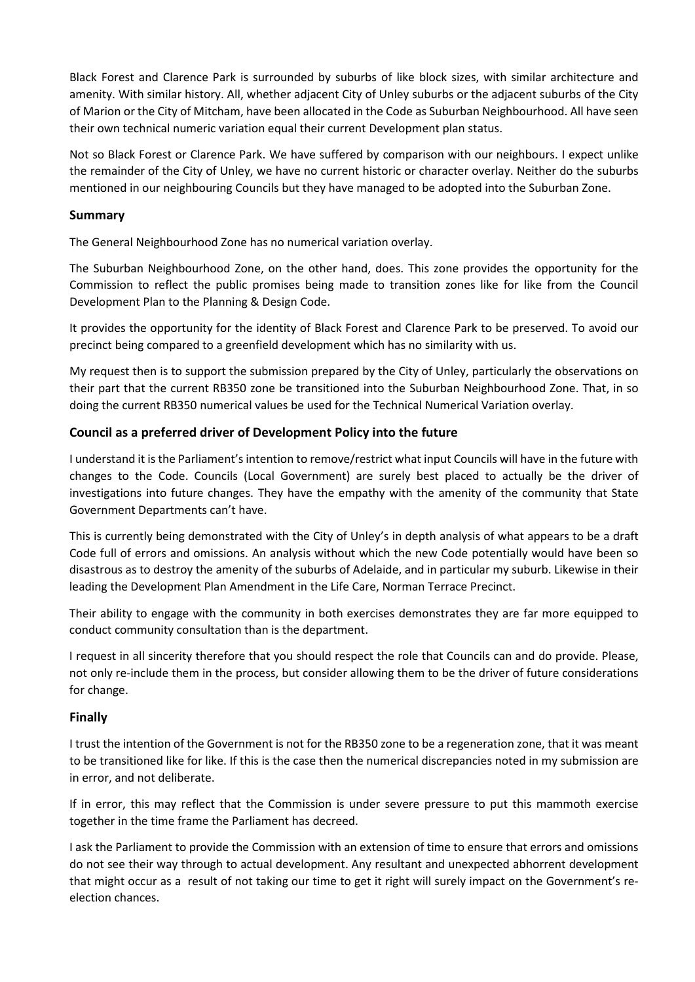Black Forest and Clarence Park is surrounded by suburbs of like block sizes, with similar architecture and amenity. With similar history. All, whether adjacent City of Unley suburbs or the adjacent suburbs of the City of Marion or the City of Mitcham, have been allocated in the Code as Suburban Neighbourhood. All have seen their own technical numeric variation equal their current Development plan status.

Not so Black Forest or Clarence Park. We have suffered by comparison with our neighbours. I expect unlike the remainder of the City of Unley, we have no current historic or character overlay. Neither do the suburbs mentioned in our neighbouring Councils but they have managed to be adopted into the Suburban Zone.

#### **Summary**

The General Neighbourhood Zone has no numerical variation overlay.

The Suburban Neighbourhood Zone, on the other hand, does. This zone provides the opportunity for the Commission to reflect the public promises being made to transition zones like for like from the Council Development Plan to the Planning & Design Code.

It provides the opportunity for the identity of Black Forest and Clarence Park to be preserved. To avoid our precinct being compared to a greenfield development which has no similarity with us.

My request then is to support the submission prepared by the City of Unley, particularly the observations on their part that the current RB350 zone be transitioned into the Suburban Neighbourhood Zone. That, in so doing the current RB350 numerical values be used for the Technical Numerical Variation overlay.

### **Council as a preferred driver of Development Policy into the future**

I understand it is the Parliament's intention to remove/restrict what input Councils will have in the future with changes to the Code. Councils (Local Government) are surely best placed to actually be the driver of investigations into future changes. They have the empathy with the amenity of the community that State Government Departments can't have.

This is currently being demonstrated with the City of Unley's in depth analysis of what appears to be a draft Code full of errors and omissions. An analysis without which the new Code potentially would have been so disastrous as to destroy the amenity of the suburbs of Adelaide, and in particular my suburb. Likewise in their leading the Development Plan Amendment in the Life Care, Norman Terrace Precinct.

Their ability to engage with the community in both exercises demonstrates they are far more equipped to conduct community consultation than is the department.

I request in all sincerity therefore that you should respect the role that Councils can and do provide. Please, not only re-include them in the process, but consider allowing them to be the driver of future considerations for change.

#### **Finally**

I trust the intention of the Government is not for the RB350 zone to be a regeneration zone, that it was meant to be transitioned like for like. If this is the case then the numerical discrepancies noted in my submission are in error, and not deliberate.

If in error, this may reflect that the Commission is under severe pressure to put this mammoth exercise together in the time frame the Parliament has decreed.

I ask the Parliament to provide the Commission with an extension of time to ensure that errors and omissions do not see their way through to actual development. Any resultant and unexpected abhorrent development that might occur as a result of not taking our time to get it right will surely impact on the Government's reelection chances.